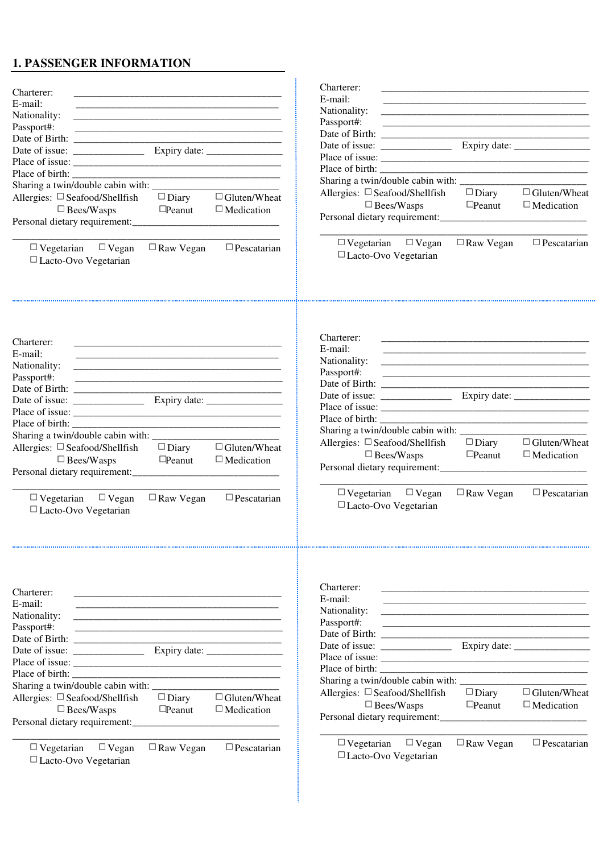# **1. PASSENGER INFORMATION**

| Charterer:<br>E-mail:<br>Nationality:<br>Passport#:<br>Allergies: $\Box$ Seafood/Shellfish<br>$\Box$ Diary<br>$\Box$ Gluten/Wheat<br>$\Box$ Bees/Wasps<br>$\Box$ Peanut<br>$\Box$ Medication    | Charterer:<br>E-mail:<br>Nationality:<br>Passport#:<br>Allergies: $\square$ Seafood/Shellfish<br>$\Box$ Gluten/Wheat<br>$\Box$ Diary<br>$\Box$ Bees/Wasps<br>$\Box$ Peanut<br>$\Box$ Medication<br>Personal dietary requirement:<br>$\Box$ Vegetarian $\Box$ Vegan<br>$\Box$ Pescatarian<br>$\Box$ Raw Vegan                            |
|-------------------------------------------------------------------------------------------------------------------------------------------------------------------------------------------------|-----------------------------------------------------------------------------------------------------------------------------------------------------------------------------------------------------------------------------------------------------------------------------------------------------------------------------------------|
| $\Box$ Vegetarian $\Box$ Vegan<br>$\Box$ Raw Vegan<br>$\Box$ Pescatarian<br>$\Box$ Lacto-Ovo Vegetarian                                                                                         | □ Lacto-Ovo Vegetarian                                                                                                                                                                                                                                                                                                                  |
| Charterer:<br>E-mail:<br>Nationality:<br>Passport#:                                                                                                                                             | Charterer:<br>E-mail:<br>Nationality:<br>Passport#:                                                                                                                                                                                                                                                                                     |
| Sharing a twin/double cabin with: ____________<br>Allergies: □ Seafood/Shellfish<br>$\Box$ Gluten/Wheat<br>$\Box$ Diary<br>$\Box$ Bees/Wasps<br>$\Box$ Peanut<br>$\Box$ Medication              | Allergies: $\Box$ Seafood/Shellfish<br>$\Box$ Diary<br>$\Box$ Gluten/Wheat<br>$\Box$ Bees/Wasps<br>$\Box$ Peanut<br>$\Box$ Medication                                                                                                                                                                                                   |
| $\Box$ Pescatarian<br>$\Box$ Vegetarian $\Box$ Vegan<br>$\Box$ Raw Vegan<br>$\Box$ Lacto-Ovo Vegetarian                                                                                         | $\Box$ Vegetarian $\Box$ Vegan<br>$\Box$ Raw Vegan<br>$\Box$ Pescatarian<br>□ Lacto-Ovo Vegetarian                                                                                                                                                                                                                                      |
| Charterer:<br>E-mail:<br>Nationality:<br>Passport#:<br>$\Box$ Gluten/Wheat<br>Allergies: $\square$ Seafood/Shellfish<br>$\Box$ Diary<br>$\Box$ Bees/Wasps<br>$\Box$ Medication<br>$\Box$ Peanut | Charterer:<br>E-mail:<br>Nationality:<br><u> 2000 - Jan James James Jan James James James James James James James James James James James James James Jam</u><br>Passport#:<br>Place of birth:<br>Allergies: $\Box$ Seafood/Shellfish<br>$\Box$ Diary<br>$\Box$ Gluten/Wheat<br>$\Box$ Bees/Wasps<br>$\Box$ Peanut<br>$\Box$ Medication |
|                                                                                                                                                                                                 | Personal dietary requirement:                                                                                                                                                                                                                                                                                                           |
| $\Box$ Raw Vegan<br>$\Box$ Pescatarian<br>$\Box$ Vegetarian<br>$\Box$ Vegan<br>□ Lacto-Ovo Vegetarian                                                                                           | $\Box$ Vegetarian $\Box$ Vegan<br>$\Box$ Raw Vegan<br>$\Box$ Pescatarian<br>$\Box$ Lacto-Ovo Vegetarian                                                                                                                                                                                                                                 |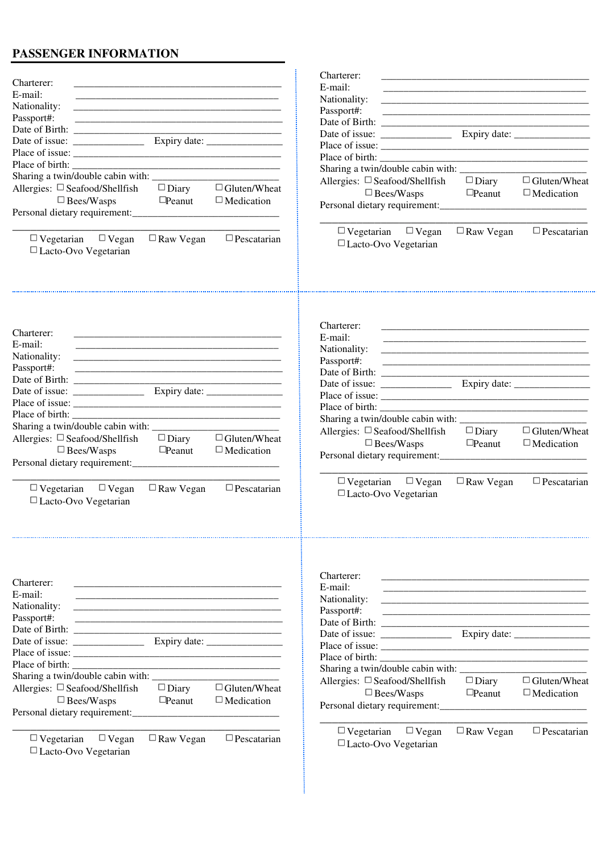# **PASSENGER INFORMATION**

| Charterer:<br>E-mail:<br>Nationality:<br><u> 2000 - Jan James James Barnett, amerikan basar pada 2000 - personal personal personal personal personal per</u><br>Passport#:<br>Sharing a twin/double cabin with: ____________<br>Allergies: $\Box$ Seafood/Shellfish<br>$\Box$ Bees/Wasps | <u> 1989 - Johann Barbara, martxa alemaniar amerikan basar da da a shekara a shekara a shekara a shekara a shekar</u><br>$\Box$ Diary<br>$\Box$ Peanut | $\Box$ Gluten/Wheat<br>$\Box$ Medication             | Charterer:<br>E-mail:<br>Nationality:<br>Passport#:<br><u> 2008 - Jan James James Barnett, amerikansk politik (d. 1888)</u><br>Allergies: $\Box$ Seafood/Shellfish<br>$\Box$ Bees/Wasps<br>$\Box$ Vegetarian $\Box$ Vegan | $\Box$ Diary<br>$\Box$ Peanut<br>$\Box$ Raw Vegan | $\Box$ Gluten/Wheat<br>$\Box$ Medication<br>$\Box$ Pescatarian |
|------------------------------------------------------------------------------------------------------------------------------------------------------------------------------------------------------------------------------------------------------------------------------------------|--------------------------------------------------------------------------------------------------------------------------------------------------------|------------------------------------------------------|---------------------------------------------------------------------------------------------------------------------------------------------------------------------------------------------------------------------------|---------------------------------------------------|----------------------------------------------------------------|
| $\Box$ Vegetarian $\Box$ Vegan<br>□ Lacto-Ovo Vegetarian                                                                                                                                                                                                                                 | $\Box$ Raw Vegan                                                                                                                                       | $\Box$ Pescatarian                                   | □ Lacto-Ovo Vegetarian                                                                                                                                                                                                    |                                                   |                                                                |
| Charterer:<br>E-mail:<br>Nationality:<br>Passport#:                                                                                                                                                                                                                                      |                                                                                                                                                        | <u> 1980 - Johann Barn, fransk politik (f. 1980)</u> | Charterer:<br>E-mail:<br>Nationality:<br><u> 1980 - Jan James Barnett, fransk politik (d. 1980)</u><br>Passport#:                                                                                                         |                                                   |                                                                |
|                                                                                                                                                                                                                                                                                          |                                                                                                                                                        |                                                      |                                                                                                                                                                                                                           |                                                   |                                                                |
| Place of birth:                                                                                                                                                                                                                                                                          |                                                                                                                                                        |                                                      |                                                                                                                                                                                                                           |                                                   |                                                                |
| Allergies: $\Box$ Seafood/Shellfish<br>$\Box$ Bees/Wasps                                                                                                                                                                                                                                 | $\Box$ Diary<br>$\Box$ Peanut                                                                                                                          | $\Box$ Gluten/Wheat<br>$\Box$ Medication             | Allergies: $\Box$ Seafood/Shellfish<br>$\Box$ Bees/Wasps                                                                                                                                                                  | $\Box$ Diary<br>$\Box$ Peanut                     | $\Box$ Gluten/Wheat<br>$\Box$ Medication                       |
| $\Box$ Vegetarian $\Box$ Vegan<br>□ Lacto-Ovo Vegetarian                                                                                                                                                                                                                                 | $\Box$ Raw Vegan                                                                                                                                       | $\Box$ Pescatarian                                   | $\Box$ Vegetarian $\Box$ Vegan<br>$\Box$ Lacto-Ovo Vegetarian                                                                                                                                                             | $\Box$ Raw Vegan                                  | $\Box$ Pescatarian                                             |
| Charterer:<br>E-mail:<br>Nationality:<br>Passport#:<br>Place of birth:<br>Allergies: $\Box$ Seafood/Shellfish                                                                                                                                                                            | $\Box$ Diary                                                                                                                                           | $\Box$ Gluten/Wheat                                  | Charterer:<br>E-mail:<br>Nationality:<br>Passport#:<br><u> 1980 - Jan Barnett, fransk politik (d. 1980)</u><br>Place of birth:<br>Allergies: $\Box$ Seafood/Shellfish                                                     | $\Box$ Diary                                      | $\Box$ Gluten/Wheat                                            |
| $\Box$ Bees/Wasps                                                                                                                                                                                                                                                                        | $\Box$ Peanut                                                                                                                                          | $\Box$ Medication                                    | $\Box$ Bees/Wasps                                                                                                                                                                                                         | $\Box$ Peanut                                     | $\Box$ Medication                                              |
| $\Box$ Vegan<br>$\Box$ Vegetarian<br>$\Box$ Lacto-Ovo Vegetarian                                                                                                                                                                                                                         | $\Box$ Raw Vegan                                                                                                                                       | $\Box$ Pescatarian                                   | $\Box$ Vegetarian $\Box$ Vegan<br>$\Box$ Lacto-Ovo Vegetarian                                                                                                                                                             | $\Box$ Raw Vegan                                  | $\Box$ Pescatarian                                             |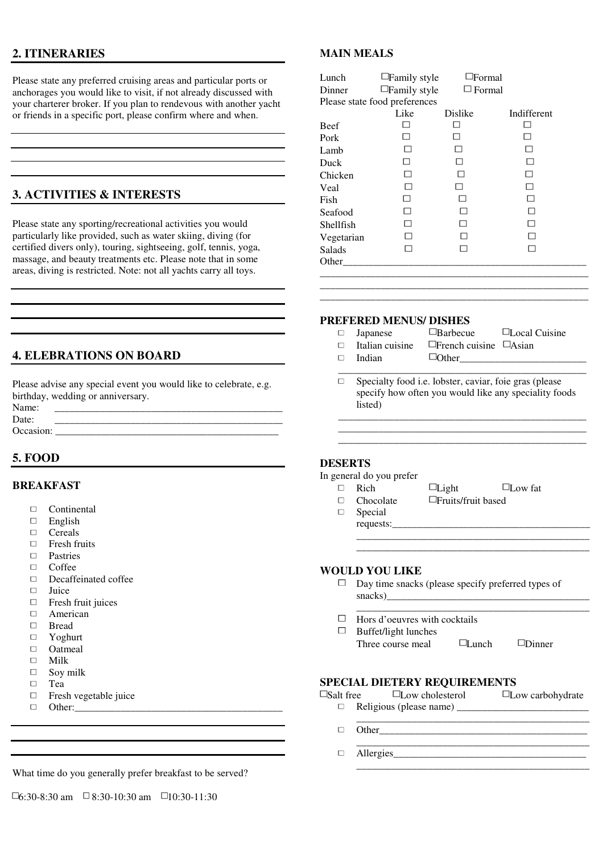# **2. ITINERARIES**

Please state any preferred cruising areas and particular ports or anchorages you would like to visit, if not already discussed with your charterer broker. If you plan to rendevous with another yacht or friends in a specific port, please confirm where and when.

# **3. ACTIVITIES & INTERESTS**

Please state any sporting/recreational activities you would particularly like provided, such as water skiing, diving (for certified divers only), touring, sightseeing, golf, tennis, yoga, massage, and beauty treatments etc. Please note that in some areas, diving is restricted. Note: not all yachts carry all toys.

# **4. ELEBRATIONS ON BOARD**

Please advise any special event you would like to celebrate, e.g. birthday, wedding or anniversary.

| Name:     |  |
|-----------|--|
| Date:     |  |
| Occasion: |  |

# **5. FOOD**

### **BREAKFAST**

- $\Box$ Continental
- $\Box$ English
- $\Box$ Cereals
- $\Box$ Fresh fruits
- D Pastries
- $\Box$ Coffee
- $\Box$ Decaffeinated coffee
- $\Box$ Juice
- $\Box$ Fresh fruit juices
- $\Box$ American
- $\Box$ Bread
- $\Box$ Yoghurt
- $\Box$ **Oatmeal**
- $\Box$ Milk  $\Box$ Soy milk
- $\Box$ Tea
- $\Box$
- Fresh vegetable juice Other:\_\_\_\_\_\_\_\_\_\_\_\_\_\_\_\_\_\_\_\_\_\_\_\_\_\_\_\_\_\_\_\_\_\_\_\_\_\_\_\_\_
- $\Box$

#### What time do you generally prefer breakfast to be served?

## **MAIN MEALS**

| Lunch                         | $\Box$ Family style | $\Box$ Formal |             |  |  |
|-------------------------------|---------------------|---------------|-------------|--|--|
| Dinner                        | $\Box$ Family style | $\Box$ Formal |             |  |  |
| Please state food preferences |                     |               |             |  |  |
|                               | Like                | Dislike       | Indifferent |  |  |
| Beef                          |                     | $\mathcal{L}$ |             |  |  |
| Pork                          |                     | □             |             |  |  |
| Lamb                          |                     |               |             |  |  |
| Duck                          | П                   |               |             |  |  |
| Chicken                       |                     |               |             |  |  |
| Veal                          |                     | H             |             |  |  |
| Fish                          | ΙI                  | П             |             |  |  |
| Seafood                       | П                   | П             |             |  |  |
| Shellfish                     | П                   | П             | П           |  |  |
| Vegetarian                    |                     | П             | П           |  |  |
| Salads                        |                     | П             |             |  |  |
| Other                         |                     |               |             |  |  |
|                               |                     |               |             |  |  |
|                               |                     |               |             |  |  |

### **PREFERED MENUS/ DISHES**

- $\Box$
- $\Box$ Italian cuisine  $\Box$ French cuisine  $\Box$ Asian

 $\Box$ 

- 
- Indian  $\Box$ Other
- Japanese **Barbecue Local Cuisine**
- \_\_\_\_\_\_\_\_\_\_\_\_\_\_\_\_\_\_\_\_\_\_\_\_\_\_\_\_\_\_\_\_\_\_\_\_\_\_\_\_\_\_\_\_\_\_\_\_\_ Specialty food i.e. lobster, caviar, foie gras (please specify how often you would like any speciality foods listed)

\_\_\_\_\_\_\_\_\_\_\_\_\_\_\_\_\_\_\_\_\_\_\_\_\_\_\_\_\_\_\_\_\_\_\_\_\_\_\_\_\_\_\_\_\_\_\_\_\_ \_\_\_\_\_\_\_\_\_\_\_\_\_\_\_\_\_\_\_\_\_\_\_\_\_\_\_\_\_\_\_\_\_\_\_\_\_\_\_\_\_\_\_\_\_\_\_\_\_ \_\_\_\_\_\_\_\_\_\_\_\_\_\_\_\_\_\_\_\_\_\_\_\_\_\_\_\_\_\_\_\_\_\_\_\_\_\_\_\_\_\_\_\_\_\_\_\_\_

\_\_\_\_\_\_\_\_\_\_\_\_\_\_\_\_\_\_\_\_\_\_\_\_\_\_\_\_\_\_\_\_\_\_\_\_\_\_\_\_\_\_\_\_\_\_\_\_\_\_\_\_\_

| <b>DESERTS</b> |
|----------------|
|----------------|

#### In general do you prefer

- Rich  $\Box$  Light  $\Box$  Low fat  $\Box$  $\Box$ 
	- $Chocolate \qquad \Box$ Fruits/fruit based
- $\Box$
- 
- 
- 
- Special
- requests:\_\_\_\_\_\_\_\_\_\_\_\_\_\_\_\_\_\_\_\_\_\_\_\_\_\_\_\_\_\_\_\_\_\_\_\_\_\_\_
- 

\_\_\_\_\_\_\_\_\_\_\_\_\_\_\_\_\_\_\_\_\_\_\_\_\_\_\_\_\_\_\_\_\_\_\_\_\_\_\_\_\_\_\_\_\_\_

\_\_\_\_\_\_\_\_\_\_\_\_\_\_\_\_\_\_\_\_\_\_\_\_\_\_\_\_\_\_\_\_\_\_\_\_\_\_\_\_\_\_\_\_\_\_

\_\_\_\_\_\_\_\_\_\_\_\_\_\_\_\_\_\_\_\_\_\_\_\_\_\_\_\_\_\_\_\_\_\_\_\_\_\_\_\_\_\_\_\_\_\_

#### **WOULD YOU LIKE**

- $\Box$ Day time snacks (please specify preferred types of snacks)
- $\Box$ Hors d'oeuvres with cocktails
- $\Box$ Buffet/light lunches
	- Three course meal  $\Box$  Lunch  $\Box$  Dinner

### **SPECIAL DIETERY REQUIREMENTS**

| $\Box$ Salt free | $\Box$ Low cholesterol | $\square$ Low carbohydrate |
|------------------|------------------------|----------------------------|
|                  |                        |                            |
|                  |                        |                            |
|                  | Other                  |                            |
|                  |                        |                            |
|                  | Allergies              |                            |
|                  |                        |                            |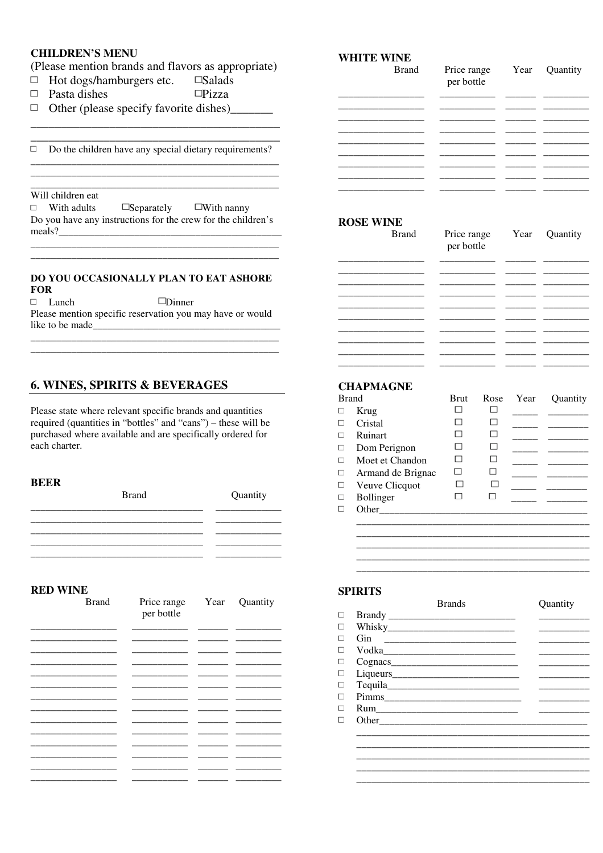# **CHILDREN'S MENU**

### (Please mention brands and flavors as appropriate)

- $\Box$ Hot dogs/hamburgers etc. □Salads
- Pasta dishes  $\Box$ Pizza  $\Box$
- $\Box$  Other (please specify favorite dishes)

 $\Box$  Do the children have any special dietary requirements?

## Will children eat

 $\Box$  With adults  $\Box$  Separately  $\Box$  With nanny Do you have any instructions for the crew for the children's 

### DO YOU OCCASIONALLY PLAN TO EAT ASHORE **FOR**

 $\Box$  Lunch  $\n *Dinner*\n$ Please mention specific reservation you may have or would like to be made

# **6. WINES, SPIRITS & BEVERAGES**

Please state where relevant specific brands and quantities required (quantities in "bottles" and "cans") – these will be purchased where available and are specifically ordered for each charter.

#### **BEER**

**Brand Ouantity** 

#### **RED WINE**

| <b>Brand</b> | Price range<br>per bottle | Year | Quantity |
|--------------|---------------------------|------|----------|
|              |                           |      |          |
|              |                           |      |          |
|              |                           |      |          |
|              |                           |      |          |
|              |                           |      |          |
|              |                           |      |          |
|              |                           |      |          |

| <b>WHITE WINE</b> |  |
|-------------------|--|
|-------------------|--|

| <b>Brand</b> | Price range<br>per bottle | r ear | Quantity |
|--------------|---------------------------|-------|----------|
|              |                           |       |          |
|              |                           |       |          |
|              |                           |       |          |
|              |                           |       |          |
|              |                           |       |          |
|              |                           |       |          |

### **ROSE WINE**

| <b>Brand</b> | Price range<br>per bottle | Year Quantity |
|--------------|---------------------------|---------------|
|              |                           |               |
|              |                           |               |
|              |                           |               |
|              |                           |               |
|              |                           |               |
|              |                           |               |
|              |                           |               |

### **CHAPMAGNE**

| <b>Brand</b> |                   | <b>Brut</b> | Rose | Year | <b>Ouantity</b> |
|--------------|-------------------|-------------|------|------|-----------------|
|              | Krug              |             |      |      |                 |
|              | Cristal           |             |      |      |                 |
|              | Ruinart           |             |      |      |                 |
| $\Box$       | Dom Perignon      |             |      |      |                 |
|              | Moet et Chandon   |             |      |      |                 |
| $\Box$       | Armand de Brignac |             |      |      |                 |
| $\Box$       | Veuve Clicquot    |             |      |      |                 |
|              | Bollinger         |             |      |      |                 |
|              | Other             |             |      |      |                 |
|              |                   |             |      |      |                 |
|              |                   |             |      |      |                 |
|              |                   |             |      |      |                 |
|              |                   |             |      |      |                 |

### **SPIRITS**

|        |     | <b>Brands</b> | <b>Ouantity</b> |
|--------|-----|---------------|-----------------|
|        |     |               |                 |
|        |     |               |                 |
|        | Gin |               |                 |
|        |     |               |                 |
|        |     |               |                 |
| $\Box$ |     |               |                 |
|        |     |               |                 |
|        |     |               |                 |
|        |     |               |                 |
|        |     |               |                 |
|        |     |               |                 |
|        |     |               |                 |
|        |     |               |                 |
|        |     |               |                 |
|        |     |               |                 |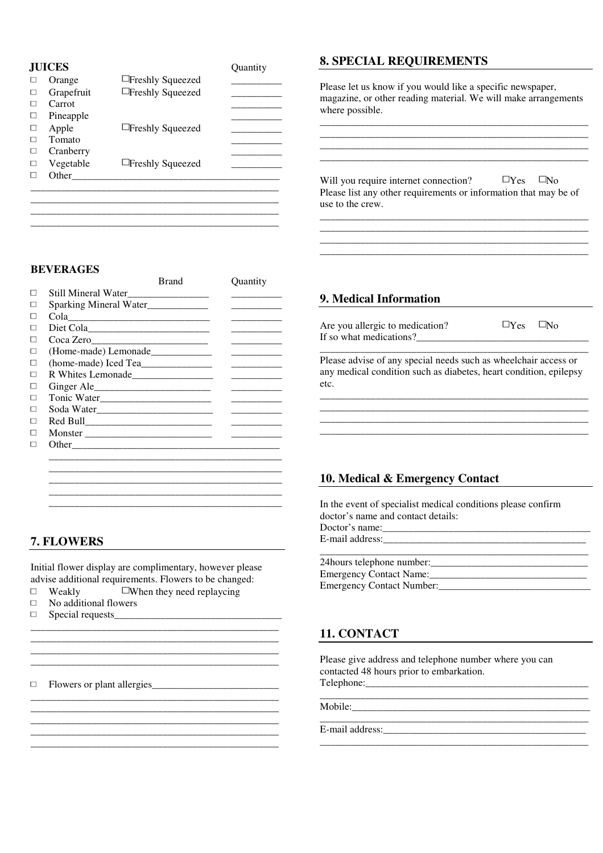| Orange          | $\Box$ Freshly Squeezed |  |
|-----------------|-------------------------|--|
| Grapefruit<br>г | $\Box$ Freshly Squeezed |  |
| Carrot          |                         |  |
| Pineapple       |                         |  |
| Apple<br>П      | □Freshly Squeezed       |  |
| Tomato          |                         |  |
| Cranberry       |                         |  |
| Vegetable       | $\Box$ Freshly Squeezed |  |
| Other           |                         |  |

\_\_\_\_\_\_\_\_\_\_\_\_\_\_\_\_\_\_\_\_\_\_\_\_\_\_\_\_\_\_\_\_\_\_\_\_\_\_\_\_\_\_\_\_\_\_\_\_\_ \_\_\_\_\_\_\_\_\_\_\_\_\_\_\_\_\_\_\_\_\_\_\_\_\_\_\_\_\_\_\_\_\_\_\_\_\_\_\_\_\_\_\_\_\_\_\_\_\_

#### **BEVERAGES**

 $\Box$  $\Box$  $\Box$  $\Box$  $\Box$  $\Box$  $\Box$  $\Box$  $\Box$  $\Box$  $\Box$  $\Box$  $\Box$  $\Box$ 

|                                       | Brand | <b>Ouantity</b> |
|---------------------------------------|-------|-----------------|
| Still Mineral Water__________________ |       |                 |
| Sparking Mineral Water____________    |       |                 |
| Cola <u>experimental</u>              |       |                 |
|                                       |       |                 |
| Coca Zero                             |       |                 |
| (Home-made) Lemonade_____________     |       |                 |
|                                       |       |                 |
| R Whites Lemonade                     |       |                 |
|                                       |       |                 |
|                                       |       |                 |
| Soda Water                            |       |                 |
|                                       |       |                 |
|                                       |       |                 |
| Other                                 |       |                 |

\_\_\_\_\_\_\_\_\_\_\_\_\_\_\_\_\_\_\_\_\_\_\_\_\_\_\_\_\_\_\_\_\_\_\_\_\_\_\_\_\_\_\_\_\_\_ \_\_\_\_\_\_\_\_\_\_\_\_\_\_\_\_\_\_\_\_\_\_\_\_\_\_\_\_\_\_\_\_\_\_\_\_\_\_\_\_\_\_\_\_\_\_ \_\_\_\_\_\_\_\_\_\_\_\_\_\_\_\_\_\_\_\_\_\_\_\_\_\_\_\_\_\_\_\_\_\_\_\_\_\_\_\_\_\_\_\_\_\_

\_\_\_\_\_\_\_\_\_\_\_\_\_\_\_\_\_\_\_\_\_\_\_\_\_\_\_\_\_\_\_\_\_\_\_\_\_\_\_\_\_\_\_\_\_\_

# **7. FLOWERS**

Initial flower display are complimentary, however please advise additional requirements. Flowers to be changed:

 $\mathcal{L}_\text{max}$  and  $\mathcal{L}_\text{max}$  and  $\mathcal{L}_\text{max}$  and  $\mathcal{L}_\text{max}$ \_\_\_\_\_\_\_\_\_\_\_\_\_\_\_\_\_\_\_\_\_\_\_\_\_\_\_\_\_\_\_\_\_\_\_\_\_\_\_\_\_\_\_\_\_\_\_\_\_ \_\_\_\_\_\_\_\_\_\_\_\_\_\_\_\_\_\_\_\_\_\_\_\_\_\_\_\_\_\_\_\_\_\_\_\_\_\_\_\_\_\_\_\_\_\_\_\_\_

\_\_\_\_\_\_\_\_\_\_\_\_\_\_\_\_\_\_\_\_\_\_\_\_\_\_\_\_\_\_\_\_\_\_\_\_\_\_\_\_\_\_\_\_\_\_\_\_\_ \_\_\_\_\_\_\_\_\_\_\_\_\_\_\_\_\_\_\_\_\_\_\_\_\_\_\_\_\_\_\_\_\_\_\_\_\_\_\_\_\_\_\_\_\_\_\_\_\_ \_\_\_\_\_\_\_\_\_\_\_\_\_\_\_\_\_\_\_\_\_\_\_\_\_\_\_\_\_\_\_\_\_\_\_\_\_\_\_\_\_\_\_\_\_\_\_\_\_

- $\Box$  Weakly  $\Box$  When they need replaycing
- $\Box$ No additional flowers
- $\Box$ Special requests\_\_\_\_\_\_\_\_\_\_\_\_\_\_\_\_\_\_\_\_\_\_\_\_\_\_\_\_\_\_\_\_\_ \_\_\_\_\_\_\_\_\_\_\_\_\_\_\_\_\_\_\_\_\_\_\_\_\_\_\_\_\_\_\_\_\_\_\_\_\_\_\_\_\_\_\_\_\_\_\_\_\_

Flowers or plant allergies\_\_\_\_\_\_\_\_\_\_\_\_\_\_\_\_\_\_\_\_\_\_\_\_\_

### **8. SPECIAL REQUIREMENTS**

Please let us know if you would like a specific newspaper, magazine, or other reading material. We will make arrangements where possible.

\_\_\_\_\_\_\_\_\_\_\_\_\_\_\_\_\_\_\_\_\_\_\_\_\_\_\_\_\_\_\_\_\_\_\_\_\_\_\_\_\_\_\_\_\_\_\_\_\_\_\_\_\_ \_\_\_\_\_\_\_\_\_\_\_\_\_\_\_\_\_\_\_\_\_\_\_\_\_\_\_\_\_\_\_\_\_\_\_\_\_\_\_\_\_\_\_\_\_\_\_\_\_\_\_\_\_ \_\_\_\_\_\_\_\_\_\_\_\_\_\_\_\_\_\_\_\_\_\_\_\_\_\_\_\_\_\_\_\_\_\_\_\_\_\_\_\_\_\_\_\_\_\_\_\_\_\_\_\_\_ \_\_\_\_\_\_\_\_\_\_\_\_\_\_\_\_\_\_\_\_\_\_\_\_\_\_\_\_\_\_\_\_\_\_\_\_\_\_\_\_\_\_\_\_\_\_\_\_\_\_\_\_\_

Will you require internet connection?  $\Box$  Yes  $\Box$  No Please list any other requirements or information that may be of use to the crew.

\_\_\_\_\_\_\_\_\_\_\_\_\_\_\_\_\_\_\_\_\_\_\_\_\_\_\_\_\_\_\_\_\_\_\_\_\_\_\_\_\_\_\_\_\_\_\_\_\_\_\_\_\_ \_\_\_\_\_\_\_\_\_\_\_\_\_\_\_\_\_\_\_\_\_\_\_\_\_\_\_\_\_\_\_\_\_\_\_\_\_\_\_\_\_\_\_\_\_\_\_\_\_\_\_\_\_ \_\_\_\_\_\_\_\_\_\_\_\_\_\_\_\_\_\_\_\_\_\_\_\_\_\_\_\_\_\_\_\_\_\_\_\_\_\_\_\_\_\_\_\_\_\_\_\_\_\_\_\_\_ \_\_\_\_\_\_\_\_\_\_\_\_\_\_\_\_\_\_\_\_\_\_\_\_\_\_\_\_\_\_\_\_\_\_\_\_\_\_\_\_\_\_\_\_\_\_\_\_\_\_\_\_\_

## **9. Medical Information**

Are you allergic to medication?  $\Box$  Yes  $\Box$  No If so what medications?\_\_\_\_\_\_\_\_\_\_\_\_\_\_\_\_\_\_\_\_\_\_\_\_\_\_\_\_\_\_\_\_\_\_

Please advise of any special needs such as wheelchair access or any medical condition such as diabetes, heart condition, epilepsy etc.

\_\_\_\_\_\_\_\_\_\_\_\_\_\_\_\_\_\_\_\_\_\_\_\_\_\_\_\_\_\_\_\_\_\_\_\_\_\_\_\_\_\_\_\_\_\_\_\_\_\_\_\_\_ \_\_\_\_\_\_\_\_\_\_\_\_\_\_\_\_\_\_\_\_\_\_\_\_\_\_\_\_\_\_\_\_\_\_\_\_\_\_\_\_\_\_\_\_\_\_\_\_\_\_\_\_\_

\_\_\_\_\_\_\_\_\_\_\_\_\_\_\_\_\_\_\_\_\_\_\_\_\_\_\_\_\_\_\_\_\_\_\_\_\_\_\_\_\_\_\_\_\_\_\_\_\_\_\_\_\_

### **10. Medical & Emergency Contact**

In the event of specialist medical conditions please confirm doctor's name and contact details: Doctor's name: E-mail address: \_\_\_\_\_\_\_\_\_\_\_\_\_\_\_\_\_\_\_\_\_\_\_\_\_\_\_\_\_\_\_\_\_\_\_\_\_\_\_\_\_\_\_\_\_\_\_\_\_\_\_\_\_

| 24 hours telephone number:       |  |
|----------------------------------|--|
| Emergency Contact Name:          |  |
| <b>Emergency Contact Number:</b> |  |

# **11. CONTACT**

Please give address and telephone number where you can contacted 48 hours prior to embarkation. Telephone:\_\_\_\_\_\_\_\_\_\_\_\_\_\_\_\_\_\_\_\_\_\_\_\_\_\_\_\_\_\_\_\_\_\_\_\_\_\_\_\_\_\_\_\_

\_\_\_\_\_\_\_\_\_\_\_\_\_\_\_\_\_\_\_\_\_\_\_\_\_\_\_\_\_\_\_\_\_\_\_\_\_\_\_\_\_\_\_\_\_\_\_\_\_\_\_\_\_

\_\_\_\_\_\_\_\_\_\_\_\_\_\_\_\_\_\_\_\_\_\_\_\_\_\_\_\_\_\_\_\_\_\_\_\_\_\_\_\_\_\_\_\_\_\_\_\_\_\_\_\_\_

\_\_\_\_\_\_\_\_\_\_\_\_\_\_\_\_\_\_\_\_\_\_\_\_\_\_\_\_\_\_\_\_\_\_\_\_\_\_\_\_\_\_\_\_\_\_\_\_\_\_\_\_\_

Mobile:\_\_\_\_\_\_\_\_\_\_\_\_\_\_\_\_\_\_\_\_\_\_\_\_\_\_\_\_\_\_\_\_\_\_\_\_\_\_\_\_\_\_\_\_\_\_\_

E-mail address:\_\_\_\_\_\_\_\_\_\_\_\_\_\_\_\_\_\_\_\_\_\_\_\_\_\_\_\_\_\_\_\_\_\_\_\_\_\_\_\_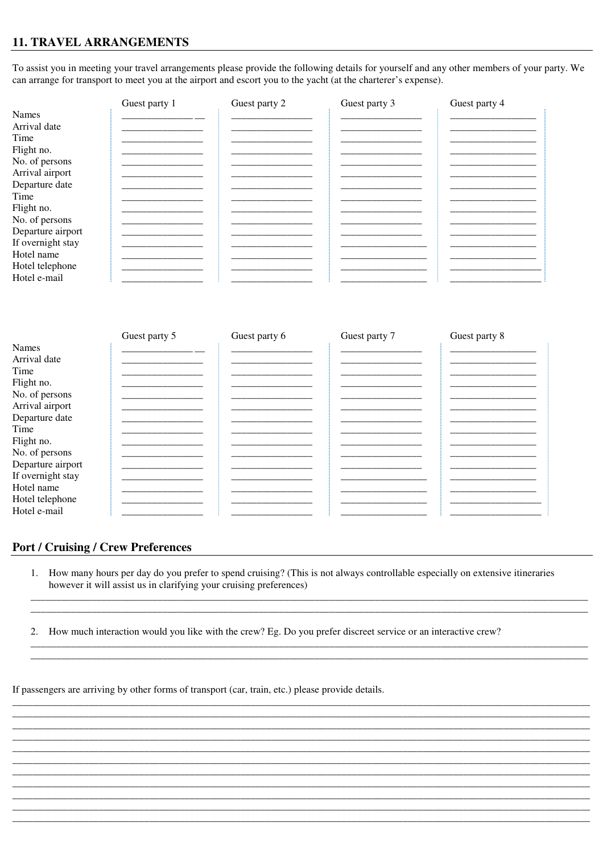# **11. TRAVEL ARRANGEMENTS**

To assist you in meeting your travel arrangements please provide the following details for yourself and any other members of your party. We can arrange for transport to meet you at the airport and escort you to the yacht (at the charterer's expense).

|                   | Guest party 1 | Guest party 2 | Guest party 3 | Guest party 4 |
|-------------------|---------------|---------------|---------------|---------------|
| Names             |               |               |               |               |
| Arrival date      |               |               |               |               |
| Time              |               |               |               |               |
| Flight no.        |               |               |               |               |
| No. of persons    |               |               |               |               |
| Arrival airport   |               |               |               |               |
| Departure date    |               |               |               |               |
| Time              |               |               |               |               |
| Flight no.        |               |               |               |               |
| No. of persons    |               |               |               |               |
| Departure airport |               |               |               |               |
| If overnight stay |               |               |               |               |
| Hotel name        |               |               |               |               |
| Hotel telephone   |               |               |               |               |
| Hotel e-mail      |               |               |               |               |
|                   |               |               |               |               |

|                   | Guest party 5 | Guest party 6 | Guest party 7 | Guest party 8 |
|-------------------|---------------|---------------|---------------|---------------|
| <b>Names</b>      |               |               |               |               |
| Arrival date      |               |               |               |               |
| Time              |               |               |               |               |
| Flight no.        |               |               |               |               |
| No. of persons    |               |               |               |               |
| Arrival airport   |               |               |               |               |
| Departure date    |               |               |               |               |
| Time              |               |               |               |               |
| Flight no.        |               |               |               |               |
| No. of persons    |               |               |               |               |
| Departure airport |               |               |               |               |
| If overnight stay |               |               |               |               |
| Hotel name        |               |               |               |               |
| Hotel telephone   |               |               |               |               |
| Hotel e-mail      |               |               |               |               |

# **Port / Cruising / Crew Preferences**

1. How many hours per day do you prefer to spend cruising? (This is not always controllable especially on extensive itineraries however it will assist us in clarifying your cruising preferences)

2. How much interaction would you like with the crew? Eg. Do you prefer discreet service or an interactive crew?

If passengers are arriving by other forms of transport (car, train, etc.) please provide details.